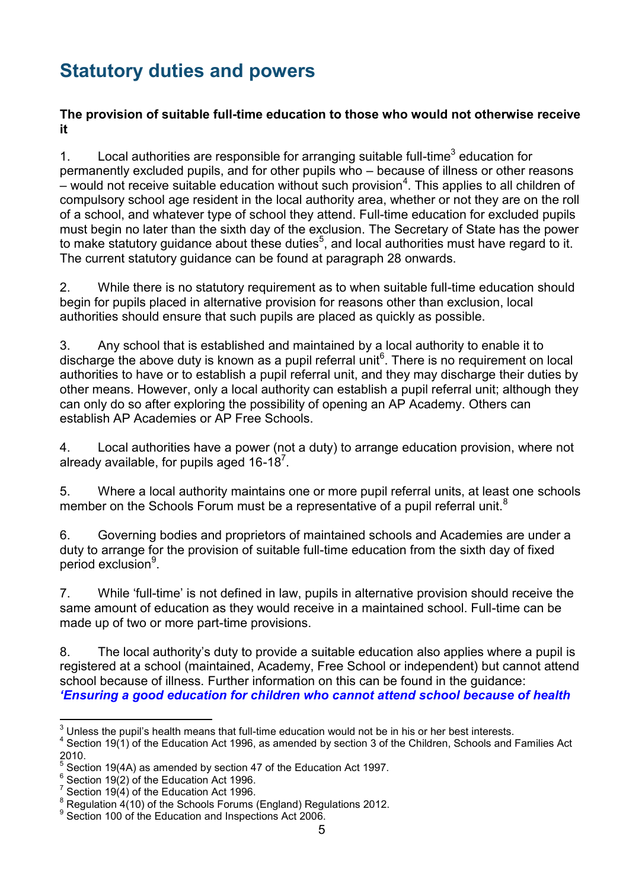# **Statutory duties and powers**

### **The provision of suitable full-time education to those who would not otherwise receive it**

1. Local authorities are responsible for arranging suitable full-time<sup>3</sup> education for permanently excluded pupils, and for other pupils who – because of illness or other reasons  $-$  would not receive suitable education without such provision $^4$ . This applies to all children of compulsory school age resident in the local authority area, whether or not they are on the roll of a school, and whatever type of school they attend. Full-time education for excluded pupils must begin no later than the sixth day of the exclusion. The Secretary of State has the power to make statutory guidance about these duties $^5$ , and local authorities must have regard to it. The current statutory guidance can be found at paragraph 28 onwards.

2. While there is no statutory requirement as to when suitable full-time education should begin for pupils placed in alternative provision for reasons other than exclusion, local authorities should ensure that such pupils are placed as quickly as possible.

3. Any school that is established and maintained by a local authority to enable it to discharge the above duty is known as a pupil referral unit<sup>6</sup>. There is no requirement on local authorities to have or to establish a pupil referral unit, and they may discharge their duties by other means. However, only a local authority can establish a pupil referral unit; although they can only do so after exploring the possibility of opening an AP Academy. Others can establish AP Academies or AP Free Schools.

4. Local authorities have a power (not a duty) to arrange education provision, where not already available, for pupils aged 16-18<sup>7</sup>.

5. Where a local authority maintains one or more pupil referral units, at least one schools member on the Schools Forum must be a representative of a pupil referral unit.<sup>8</sup>

6. Governing bodies and proprietors of maintained schools and Academies are under a duty to arrange for the provision of suitable full-time education from the sixth day of fixed period exclusion<sup>9</sup>.

7. While 'full-time' is not defined in law, pupils in alternative provision should receive the same amount of education as they would receive in a maintained school. Full-time can be made up of two or more part-time provisions.

8. The local authority's duty to provide a suitable education also applies where a pupil is registered at a school (maintained, Academy, Free School or independent) but cannot attend school because of illness. Further information on this can be found in the guidance: *['Ensuring a good education for children who cannot attend school because of health](http://www.education.gov.uk/g00219676/special-health-needs-education)* 

 3 Unless the pupil's health means that full-time education would not be in his or her best interests.

 $4$  Section 19(1) of the Education Act 1996, as amended by section 3 of the Children, Schools and Families Act 2010.

<sup>5</sup> Section 19(4A) as amended by section 47 of the Education Act 1997.

 $\frac{6}{1}$  Section 19(2) of the Education Act 1996.

 $\frac{7}{1}$  Section 19(4) of the Education Act 1996.

 $8$  Regulation  $4(10)$  of the Schools Forums (England) Regulations 2012.

<sup>&</sup>lt;sup>9</sup> Section 100 of the Education and Inspections Act 2006.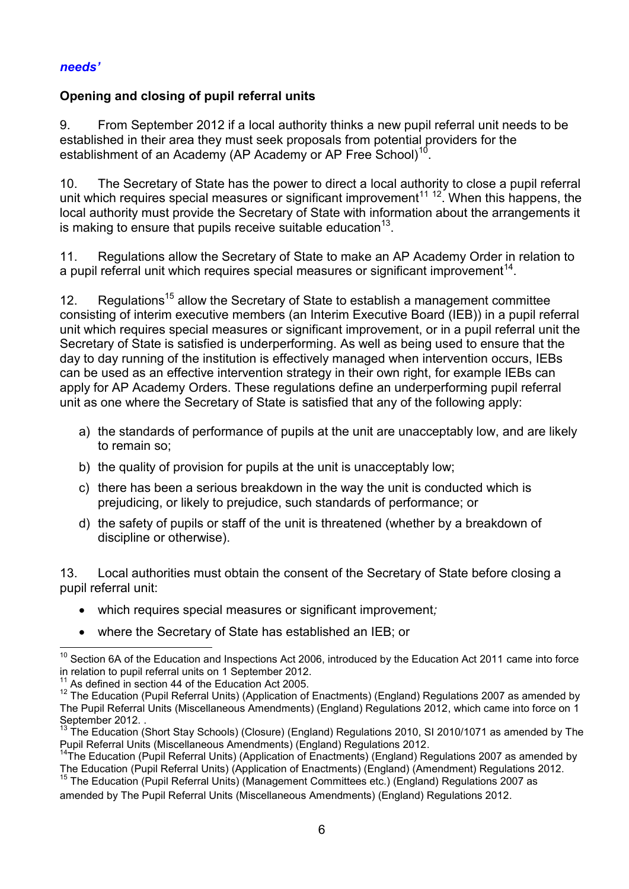### *[needs'](http://www.education.gov.uk/g00219676/special-health-needs-education)*

### **Opening and closing of pupil referral units**

9. From September 2012 if a local authority thinks a new pupil referral unit needs to be established in their area they must seek proposals from potential providers for the establishment of an Academy (AP Academy or AP Free School)<sup>1</sup> .

10. The Secretary of State has the power to direct a local authority to close a pupil referral unit which requires special measures or significant improvement<sup>11 12</sup>. When this happens, the local authority must provide the Secretary of State with information about the arrangements it is making to ensure that pupils receive suitable education $^{13}$ .

11. Regulations allow the Secretary of State to make an AP Academy Order in relation to a pupil referral unit which requires special measures or significant improvement $^{\mathsf{14}}$ .

12. Regulations<sup>15</sup> allow the Secretary of State to establish a management committee consisting of interim executive members (an Interim Executive Board (IEB)) in a pupil referral unit which requires special measures or significant improvement, or in a pupil referral unit the Secretary of State is satisfied is underperforming. As well as being used to ensure that the day to day running of the institution is effectively managed when intervention occurs, IEBs can be used as an effective intervention strategy in their own right, for example IEBs can apply for AP Academy Orders. These regulations define an underperforming pupil referral unit as one where the Secretary of State is satisfied that any of the following apply:

- a) the standards of performance of pupils at the unit are unacceptably low, and are likely to remain so;
- b) the quality of provision for pupils at the unit is unacceptably low;
- c) there has been a serious breakdown in the way the unit is conducted which is prejudicing, or likely to prejudice, such standards of performance; or
- d) the safety of pupils or staff of the unit is threatened (whether by a breakdown of discipline or otherwise).

13. Local authorities must obtain the consent of the Secretary of State before closing a pupil referral unit:

- which requires special measures or significant improvement*;*
- where the Secretary of State has established an IEB; or

 <sup>10</sup> Section 6A of the Education and Inspections Act 2006, introduced by the Education Act 2011 came into force in relation to pupil referral units on 1 September 2012.

 $11$  As defined in section 44 of the Education Act 2005.

 $12$  The Education (Pupil Referral Units) (Application of Enactments) (England) Regulations 2007 as amended by The Pupil Referral Units (Miscellaneous Amendments) (England) Regulations 2012, which came into force on 1 September 2012. .

The Education (Short Stay Schools) (Closure) (England) Regulations 2010, SI 2010/1071 as amended by The Pupil Referral Units (Miscellaneous Amendments) (England) Regulations 2012.

<sup>&</sup>lt;sup>14</sup>The Education (Pupil Referral Units) (Application of Enactments) (England) Regulations 2007 as amended by The Education (Pupil Referral Units) (Application of Enactments) (England) (Amendment) Regulations 2012.

 $15$  The Education (Pupil Referral Units) (Management Committees etc.) (England) Regulations 2007 as

amended by The Pupil Referral Units (Miscellaneous Amendments) (England) Regulations 2012.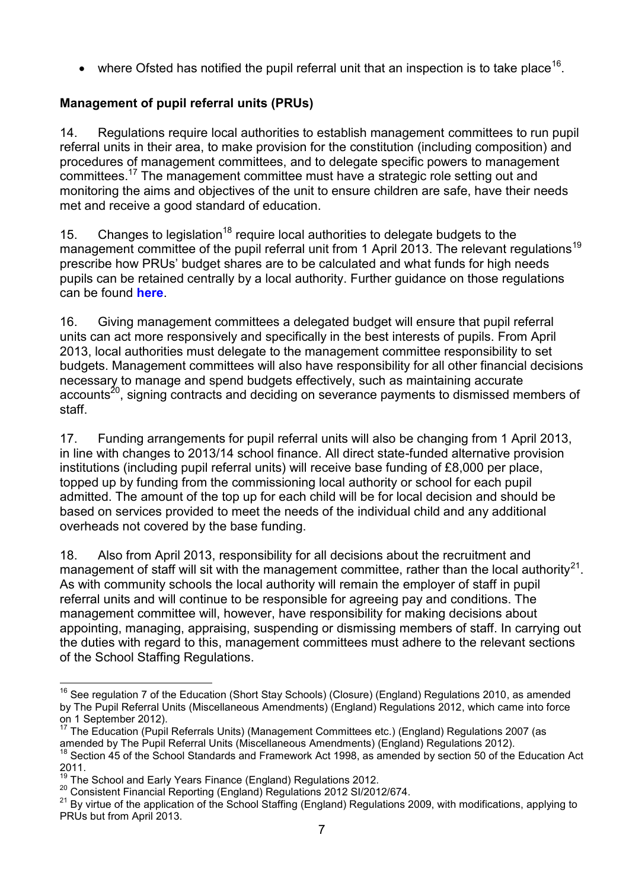• where Ofsted has notified the pupil referral unit that an inspection is to take place<sup>16</sup>.

# **Management of pupil referral units (PRUs)**

14. Regulations require local authorities to establish management committees to run pupil referral units in their area, to make provision for the constitution (including composition) and procedures of management committees, and to delegate specific powers to management committees.<sup>17</sup> The management committee must have a strategic role setting out and monitoring the aims and objectives of the unit to ensure children are safe, have their needs met and receive a good standard of education.

15. Changes to legislation<sup>18</sup> require local authorities to delegate budgets to the management committee of the pupil referral unit from 1 April 2013. The relevant regulations<sup>19</sup> prescribe how PRUs' budget shares are to be calculated and what funds for high needs pupils can be retained centrally by a local authority. Further guidance on those regulations can be found **[here](http://www.education.gov.uk/schools/adminandfinance/financialmanagement/schoolsrevenuefunding/financeregulations/a00218106/school-and-early-years-finance-regulations)**.

16. Giving management committees a delegated budget will ensure that pupil referral units can act more responsively and specifically in the best interests of pupils. From April 2013, local authorities must delegate to the management committee responsibility to set budgets. Management committees will also have responsibility for all other financial decisions necessary to manage and spend budgets effectively, such as maintaining accurate accounts<sup>20</sup>, signing contracts and deciding on severance payments to dismissed members of staff.

17. Funding arrangements for pupil referral units will also be changing from 1 April 2013, in line with changes to 2013/14 school finance. All direct state-funded alternative provision institutions (including pupil referral units) will receive base funding of £8,000 per place, topped up by funding from the commissioning local authority or school for each pupil admitted. The amount of the top up for each child will be for local decision and should be based on services provided to meet the needs of the individual child and any additional overheads not covered by the base funding.

18. Also from April 2013, responsibility for all decisions about the recruitment and management of staff will sit with the management committee, rather than the local authority<sup>21</sup>. As with community schools the local authority will remain the employer of staff in pupil referral units and will continue to be responsible for agreeing pay and conditions. The management committee will, however, have responsibility for making decisions about appointing, managing, appraising, suspending or dismissing members of staff. In carrying out the duties with regard to this, management committees must adhere to the relevant sections of the School Staffing Regulations.

 $\overline{a}$  $16$  See regulation 7 of the Education (Short Stay Schools) (Closure) (England) Regulations 2010, as amended by The Pupil Referral Units (Miscellaneous Amendments) (England) Regulations 2012, which came into force on 1 September 2012).

<sup>&</sup>lt;sup>17</sup> The Education (Pupil Referrals Units) (Management Committees etc.) (England) Regulations 2007 (as amended by The Pupil Referral Units (Miscellaneous Amendments) (England) Regulations 2012).

<sup>&</sup>lt;sup>18</sup> Section 45 of the School Standards and Framework Act 1998, as amended by section 50 of the Education Act 2011.

The School and Early Years Finance (England) Regulations 2012.

<sup>20</sup> Consistent Financial Reporting (England) Regulations 2012 SI/2012/674.

<sup>&</sup>lt;sup>21</sup> By virtue of the application of the School Staffing (England) Regulations 2009, with modifications, applying to PRUs but from April 2013.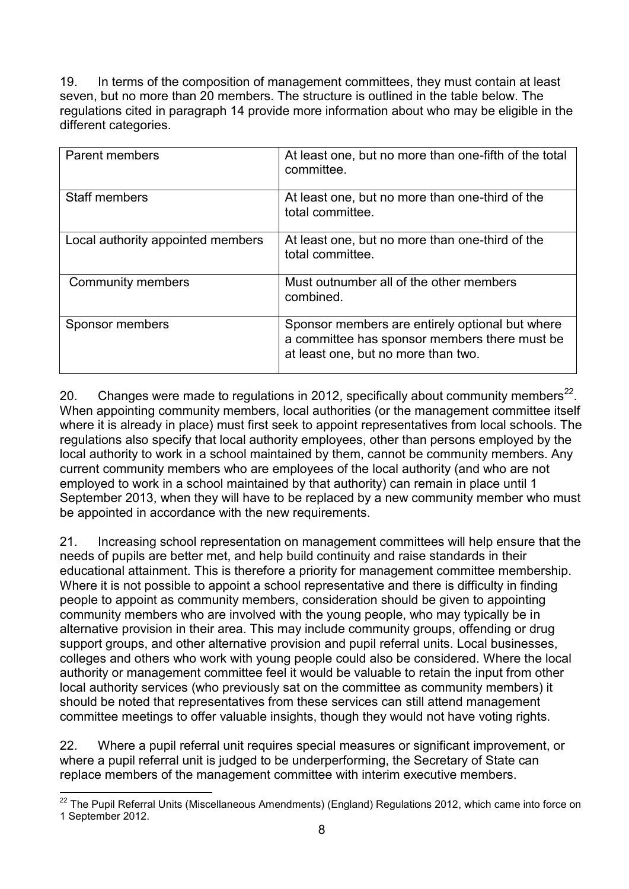19. In terms of the composition of management committees, they must contain at least seven, but no more than 20 members. The structure is outlined in the table below. The regulations cited in paragraph 14 provide more information about who may be eligible in the different categories.

| <b>Parent members</b>             | At least one, but no more than one-fifth of the total<br>committee.                                                                     |
|-----------------------------------|-----------------------------------------------------------------------------------------------------------------------------------------|
| <b>Staff members</b>              | At least one, but no more than one-third of the<br>total committee.                                                                     |
| Local authority appointed members | At least one, but no more than one-third of the<br>total committee.                                                                     |
| Community members                 | Must outnumber all of the other members<br>combined.                                                                                    |
| Sponsor members                   | Sponsor members are entirely optional but where<br>a committee has sponsor members there must be<br>at least one, but no more than two. |

20. Changes were made to regulations in 2012, specifically about community members<sup>22</sup>. When appointing community members, local authorities (or the management committee itself where it is already in place) must first seek to appoint representatives from local schools. The regulations also specify that local authority employees, other than persons employed by the local authority to work in a school maintained by them, cannot be community members. Any current community members who are employees of the local authority (and who are not employed to work in a school maintained by that authority) can remain in place until 1 September 2013, when they will have to be replaced by a new community member who must be appointed in accordance with the new requirements.

21. Increasing school representation on management committees will help ensure that the needs of pupils are better met, and help build continuity and raise standards in their educational attainment. This is therefore a priority for management committee membership. Where it is not possible to appoint a school representative and there is difficulty in finding people to appoint as community members, consideration should be given to appointing community members who are involved with the young people, who may typically be in alternative provision in their area. This may include community groups, offending or drug support groups, and other alternative provision and pupil referral units. Local businesses, colleges and others who work with young people could also be considered. Where the local authority or management committee feel it would be valuable to retain the input from other local authority services (who previously sat on the committee as community members) it should be noted that representatives from these services can still attend management committee meetings to offer valuable insights, though they would not have voting rights.

22. Where a pupil referral unit requires special measures or significant improvement, or where a pupil referral unit is judged to be underperforming, the Secretary of State can replace members of the management committee with interim executive members.

 $\overline{a}$  $22$  The Pupil Referral Units (Miscellaneous Amendments) (England) Regulations 2012, which came into force on 1 September 2012.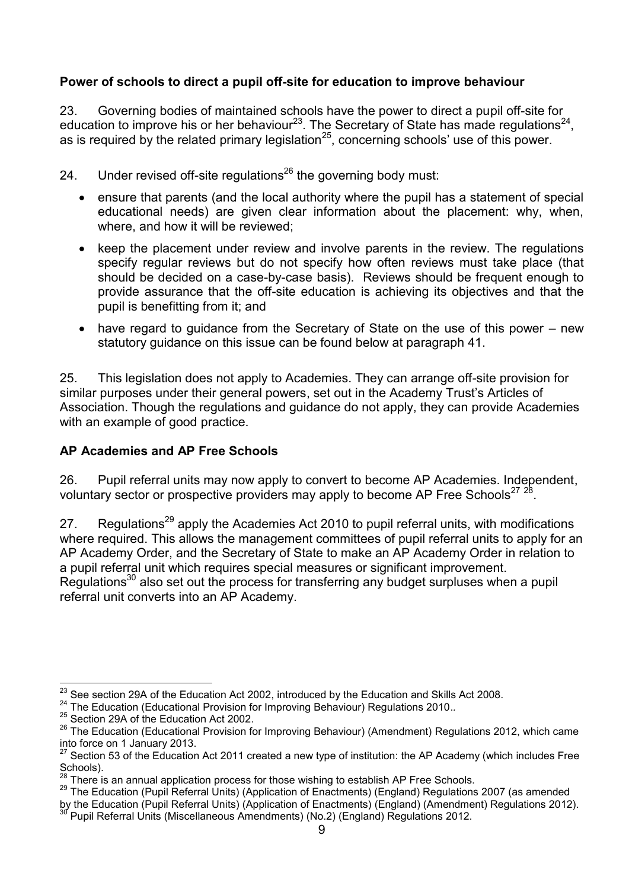## **Power of schools to direct a pupil off-site for education to improve behaviour**

23. Governing bodies of maintained schools have the power to direct a pupil off-site for education to improve his or her behaviour<sup>23</sup>. The Secretary of State has made regulations<sup>24</sup>, as is required by the related primary legislation<sup>25</sup>, concerning schools' use of this power.

24. Under revised off-site regulations<sup>26</sup> the governing body must:

- ensure that parents (and the local authority where the pupil has a statement of special educational needs) are given clear information about the placement: why, when, where, and how it will be reviewed;
- keep the placement under review and involve parents in the review. The regulations specify regular reviews but do not specify how often reviews must take place (that should be decided on a case-by-case basis). Reviews should be frequent enough to provide assurance that the off-site education is achieving its objectives and that the pupil is benefitting from it; and
- have regard to guidance from the Secretary of State on the use of this power new statutory guidance on this issue can be found below at paragraph 41.

25. This legislation does not apply to Academies. They can arrange off-site provision for similar purposes under their general powers, set out in the Academy Trust's Articles of Association. Though the regulations and guidance do not apply, they can provide Academies with an example of good practice.

### **AP Academies and AP Free Schools**

26. Pupil referral units may now apply to convert to become AP Academies. Independent, voluntary sector or prospective providers may apply to become AP Free Schools<sup>27 28</sup>.

27. Regulations<sup>29</sup> apply the Academies Act 2010 to pupil referral units, with modifications where required. This allows the management committees of pupil referral units to apply for an AP Academy Order, and the Secretary of State to make an AP Academy Order in relation to a pupil referral unit which requires special measures or significant improvement. Regulations<sup>30</sup> also set out the process for transferring any budget surpluses when a pupil referral unit converts into an AP Academy.

 $\frac{1}{2}$  $\frac{^{23}}{^{23}}$  See section 29A of the Education Act 2002, introduced by the Education and Skills Act 2008.

<sup>24</sup> The Education (Educational Provision for Improving Behaviour) Regulations 2010.*.*

 $25$  Section 29A of the Education Act 2002.

<sup>&</sup>lt;sup>26</sup> The Education (Educational Provision for Improving Behaviour) (Amendment) Regulations 2012, which came into force on 1 January 2013.

<sup>&</sup>lt;sup>27</sup> Section 53 of the Education Act 2011 created a new type of institution: the AP Academy (which includes Free Schools).

There is an annual application process for those wishing to establish AP Free Schools.

<sup>&</sup>lt;sup>29</sup> The Education (Pupil Referral Units) (Application of Enactments) (England) Regulations 2007 (as amended

by the Education (Pupil Referral Units) (Application of Enactments) (England) (Amendment) Regulations 2012). Pupil Referral Units (Miscellaneous Amendments) (No.2) (England) Regulations 2012.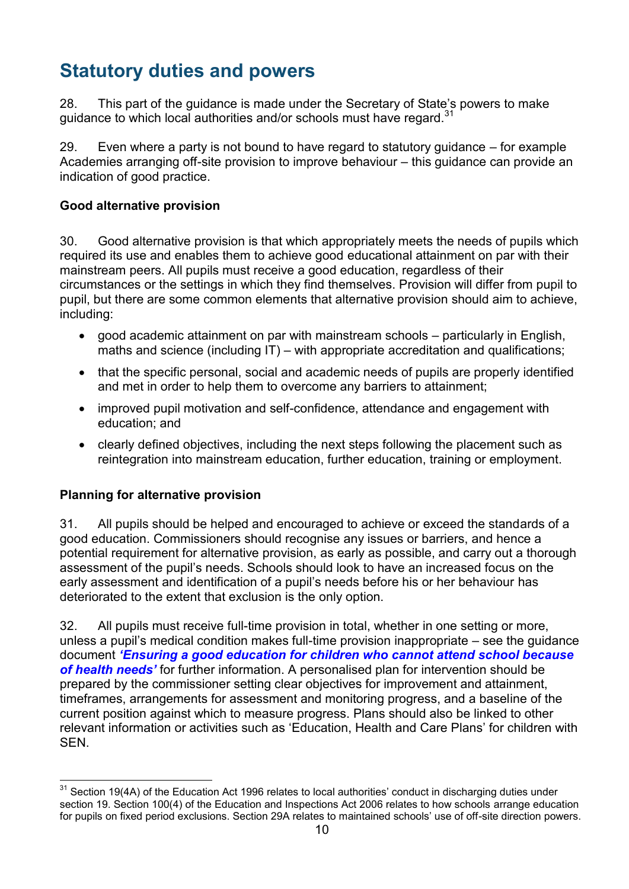# **Statutory duties and powers**

28. This part of the guidance is made under the Secretary of State's powers to make guidance to which local authorities and/or schools must have regard. $31$ 

29. Even where a party is not bound to have regard to statutory guidance – for example Academies arranging off-site provision to improve behaviour – this guidance can provide an indication of good practice.

### **Good alternative provision**

30. Good alternative provision is that which appropriately meets the needs of pupils which required its use and enables them to achieve good educational attainment on par with their mainstream peers. All pupils must receive a good education, regardless of their circumstances or the settings in which they find themselves. Provision will differ from pupil to pupil, but there are some common elements that alternative provision should aim to achieve, including:

- good academic attainment on par with mainstream schools particularly in English, maths and science (including IT) – with appropriate accreditation and qualifications;
- that the specific personal, social and academic needs of pupils are properly identified and met in order to help them to overcome any barriers to attainment;
- improved pupil motivation and self-confidence, attendance and engagement with education; and
- clearly defined objectives, including the next steps following the placement such as reintegration into mainstream education, further education, training or employment.

# **Planning for alternative provision**

31. All pupils should be helped and encouraged to achieve or exceed the standards of a good education. Commissioners should recognise any issues or barriers, and hence a potential requirement for alternative provision, as early as possible, and carry out a thorough assessment of the pupil's needs. Schools should look to have an increased focus on the early assessment and identification of a pupil's needs before his or her behaviour has deteriorated to the extent that exclusion is the only option.

32. All pupils must receive full-time provision in total, whether in one setting or more, unless a pupil's medical condition makes full-time provision inappropriate – see the guidance document *['Ensuring a good education for children who cannot attend school because](http://www.education.gov.uk/g00219676/special-health-needs-education)  [of health needs'](http://www.education.gov.uk/g00219676/special-health-needs-education)* for further information. A personalised plan for intervention should be prepared by the commissioner setting clear objectives for improvement and attainment, timeframes, arrangements for assessment and monitoring progress, and a baseline of the current position against which to measure progress. Plans should also be linked to other relevant information or activities such as 'Education, Health and Care Plans' for children with SEN.

 $\overline{a}$  $^\mathrm{31}$  Section 19(4A) of the Education Act 1996 relates to local authorities' conduct in discharging duties under section 19. Section 100(4) of the Education and Inspections Act 2006 relates to how schools arrange education for pupils on fixed period exclusions. Section 29A relates to maintained schools' use of off-site direction powers.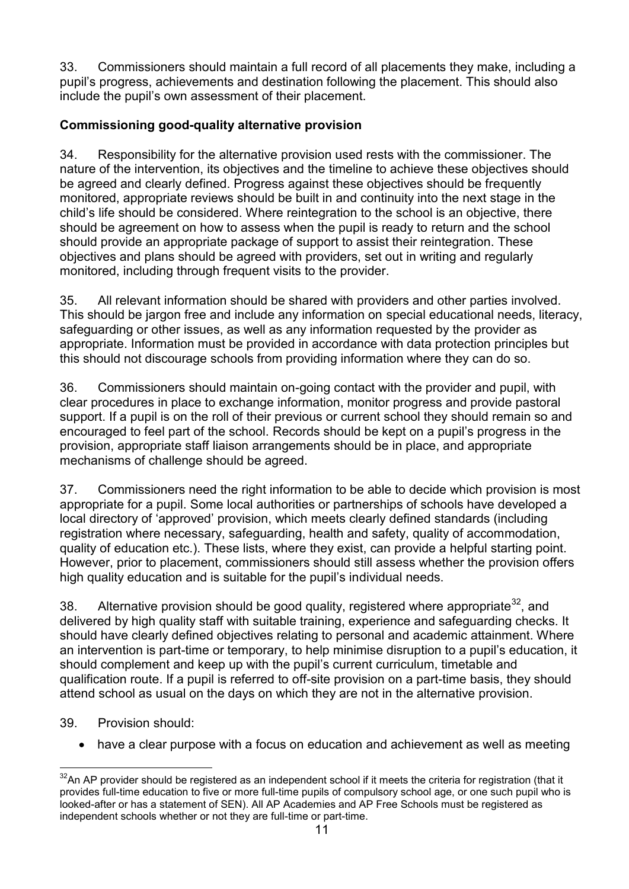33. Commissioners should maintain a full record of all placements they make, including a pupil's progress, achievements and destination following the placement. This should also include the pupil's own assessment of their placement.

# **Commissioning good-quality alternative provision**

34. Responsibility for the alternative provision used rests with the commissioner. The nature of the intervention, its objectives and the timeline to achieve these objectives should be agreed and clearly defined. Progress against these objectives should be frequently monitored, appropriate reviews should be built in and continuity into the next stage in the child's life should be considered. Where reintegration to the school is an objective, there should be agreement on how to assess when the pupil is ready to return and the school should provide an appropriate package of support to assist their reintegration. These objectives and plans should be agreed with providers, set out in writing and regularly monitored, including through frequent visits to the provider.

35. All relevant information should be shared with providers and other parties involved. This should be jargon free and include any information on special educational needs, literacy, safeguarding or other issues, as well as any information requested by the provider as appropriate. Information must be provided in accordance with data protection principles but this should not discourage schools from providing information where they can do so.

36. Commissioners should maintain on-going contact with the provider and pupil, with clear procedures in place to exchange information, monitor progress and provide pastoral support. If a pupil is on the roll of their previous or current school they should remain so and encouraged to feel part of the school. Records should be kept on a pupil's progress in the provision, appropriate staff liaison arrangements should be in place, and appropriate mechanisms of challenge should be agreed.

37. Commissioners need the right information to be able to decide which provision is most appropriate for a pupil. Some local authorities or partnerships of schools have developed a local directory of 'approved' provision, which meets clearly defined standards (including registration where necessary, safeguarding, health and safety, quality of accommodation, quality of education etc.). These lists, where they exist, can provide a helpful starting point. However, prior to placement, commissioners should still assess whether the provision offers high quality education and is suitable for the pupil's individual needs.

38. Alternative provision should be good quality, registered where appropriate  $32$ , and delivered by high quality staff with suitable training, experience and safeguarding checks. It should have clearly defined objectives relating to personal and academic attainment. Where an intervention is part-time or temporary, to help minimise disruption to a pupil's education, it should complement and keep up with the pupil's current curriculum, timetable and qualification route. If a pupil is referred to off-site provision on a part-time basis, they should attend school as usual on the days on which they are not in the alternative provision.

### 39. Provision should:

have a clear purpose with a focus on education and achievement as well as meeting

 $\overline{a}$  $32$ An AP provider should be registered as an independent school if it meets the criteria for registration (that it provides full-time education to five or more full-time pupils of compulsory school age, or one such pupil who is looked-after or has a statement of SEN). All AP Academies and AP Free Schools must be registered as independent schools whether or not they are full-time or part-time.